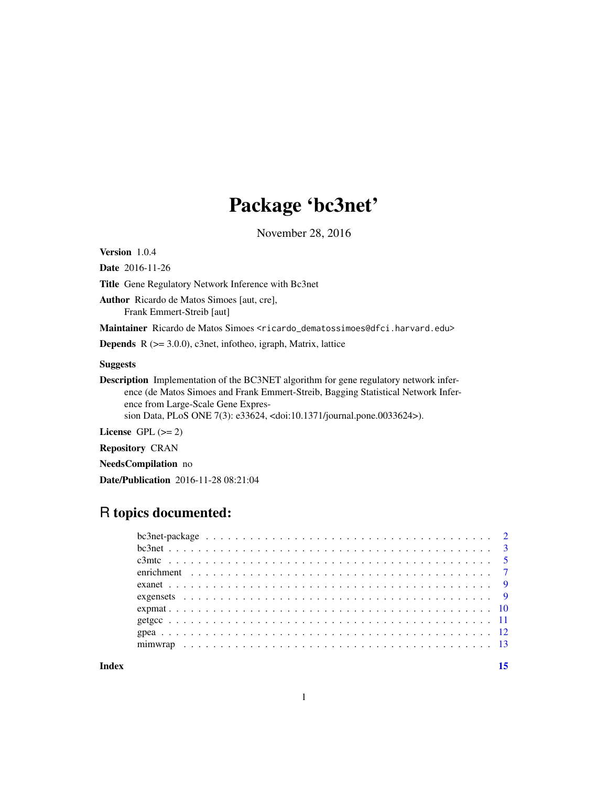# Package 'bc3net'

November 28, 2016

<span id="page-0-0"></span>Version 1.0.4

Date 2016-11-26

Title Gene Regulatory Network Inference with Bc3net

Author Ricardo de Matos Simoes [aut, cre], Frank Emmert-Streib [aut]

Maintainer Ricardo de Matos Simoes <ricardo\_dematossimoes@dfci.harvard.edu>

**Depends** R  $(>= 3.0.0)$ , c3net, infotheo, igraph, Matrix, lattice

### Suggests

Description Implementation of the BC3NET algorithm for gene regulatory network inference (de Matos Simoes and Frank Emmert-Streib, Bagging Statistical Network Inference from Large-Scale Gene Expres-

sion Data, PLoS ONE 7(3): e33624, <doi:10.1371/journal.pone.0033624>).

License GPL  $(>= 2)$ 

Repository CRAN

NeedsCompilation no

Date/Publication 2016-11-28 08:21:04

# R topics documented:

**Index** [15](#page-14-0)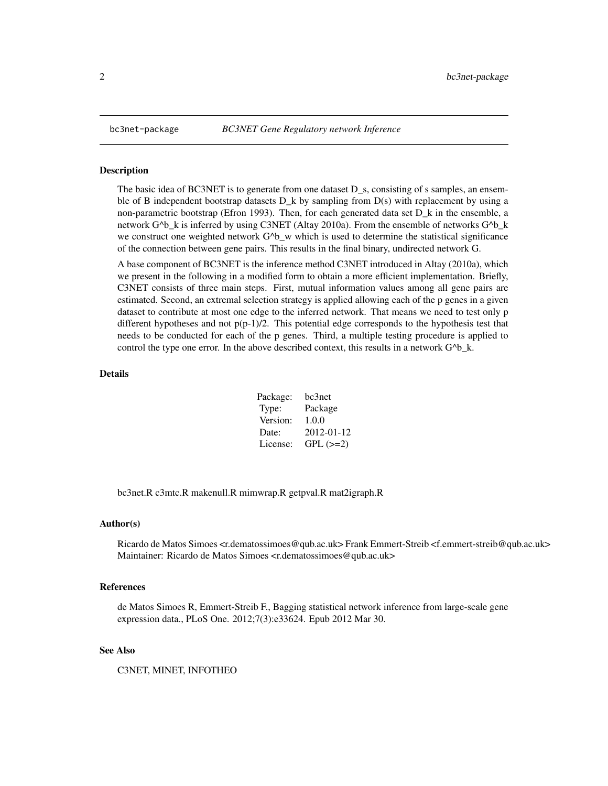<span id="page-1-0"></span>

The basic idea of BC3NET is to generate from one dataset D\_s, consisting of s samples, an ensemble of B independent bootstrap datasets  $D_k$  by sampling from  $D(s)$  with replacement by using a non-parametric bootstrap (Efron 1993). Then, for each generated data set D\_k in the ensemble, a network  $G^b$  k is inferred by using C3NET (Altay 2010a). From the ensemble of networks  $G^b$  k we construct one weighted network  $G^b$ <sub>W</sub> which is used to determine the statistical significance of the connection between gene pairs. This results in the final binary, undirected network G.

A base component of BC3NET is the inference method C3NET introduced in Altay (2010a), which we present in the following in a modified form to obtain a more efficient implementation. Briefly, C3NET consists of three main steps. First, mutual information values among all gene pairs are estimated. Second, an extremal selection strategy is applied allowing each of the p genes in a given dataset to contribute at most one edge to the inferred network. That means we need to test only p different hypotheses and not  $p(p-1)/2$ . This potential edge corresponds to the hypothesis test that needs to be conducted for each of the p genes. Third, a multiple testing procedure is applied to control the type one error. In the above described context, this results in a network  $G^{\wedge}b_{k}$ .

#### Details

| Package: | bc3net     |
|----------|------------|
| Type:    | Package    |
| Version: | 1.0.0      |
| Date:    | 2012-01-12 |
| License: | $GPL (=2)$ |

bc3net.R c3mtc.R makenull.R mimwrap.R getpval.R mat2igraph.R

#### Author(s)

Ricardo de Matos Simoes <r.dematossimoes@qub.ac.uk> Frank Emmert-Streib <f.emmert-streib@qub.ac.uk> Maintainer: Ricardo de Matos Simoes <r.dematossimoes@qub.ac.uk>

#### References

de Matos Simoes R, Emmert-Streib F., Bagging statistical network inference from large-scale gene expression data., PLoS One. 2012;7(3):e33624. Epub 2012 Mar 30.

#### See Also

C3NET, MINET, INFOTHEO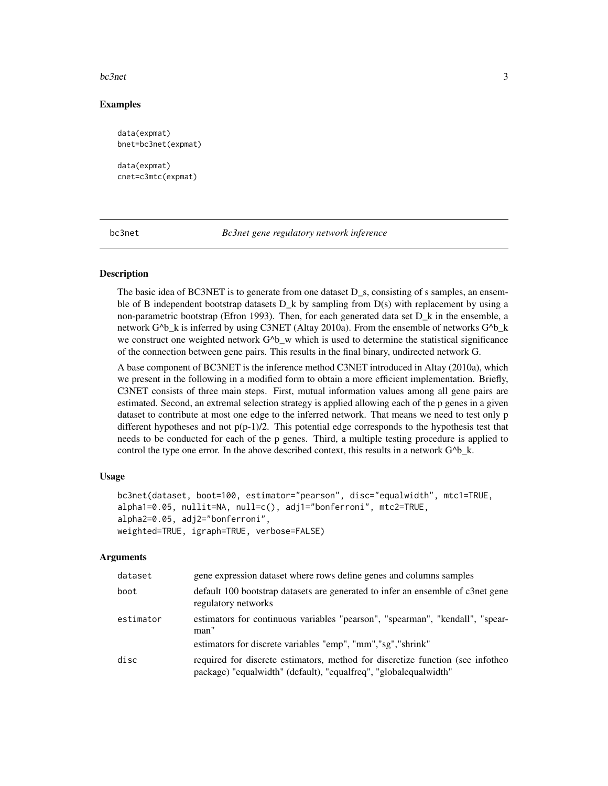#### <span id="page-2-0"></span> $bc3net$  3

# Examples

```
data(expmat)
bnet=bc3net(expmat)
data(expmat)
cnet=c3mtc(expmat)
```
bc3net *Bc3net gene regulatory network inference*

## Description

The basic idea of BC3NET is to generate from one dataset D\_s, consisting of s samples, an ensemble of B independent bootstrap datasets  $D_k$  by sampling from  $D(s)$  with replacement by using a non-parametric bootstrap (Efron 1993). Then, for each generated data set D\_k in the ensemble, a network G^b\_k is inferred by using C3NET (Altay 2010a). From the ensemble of networks G^b\_k we construct one weighted network  $G^{\wedge}b$  w which is used to determine the statistical significance of the connection between gene pairs. This results in the final binary, undirected network G.

A base component of BC3NET is the inference method C3NET introduced in Altay (2010a), which we present in the following in a modified form to obtain a more efficient implementation. Briefly, C3NET consists of three main steps. First, mutual information values among all gene pairs are estimated. Second, an extremal selection strategy is applied allowing each of the p genes in a given dataset to contribute at most one edge to the inferred network. That means we need to test only p different hypotheses and not  $p(p-1)/2$ . This potential edge corresponds to the hypothesis test that needs to be conducted for each of the p genes. Third, a multiple testing procedure is applied to control the type one error. In the above described context, this results in a network  $G^{\wedge}b_k$ .

#### Usage

```
bc3net(dataset, boot=100, estimator="pearson", disc="equalwidth", mtc1=TRUE,
alpha1=0.05, nullit=NA, null=c(), adj1="bonferroni", mtc2=TRUE,
alpha2=0.05, adj2="bonferroni",
weighted=TRUE, igraph=TRUE, verbose=FALSE)
```
#### Arguments

| dataset   | gene expression dataset where rows define genes and columns samples                                                                                |
|-----------|----------------------------------------------------------------------------------------------------------------------------------------------------|
| boot      | default 100 bootstrap datasets are generated to infer an ensemble of c3net gene<br>regulatory networks                                             |
| estimator | estimators for continuous variables "pearson", "spearman", "kendall", "spear-<br>man"                                                              |
|           | estimators for discrete variables "emp", "mm", "sg", "shrink"                                                                                      |
| disc      | required for discrete estimators, method for discretize function (see infotheo<br>package) "equalwidth" (default), "equalfreq", "globalequalwidth" |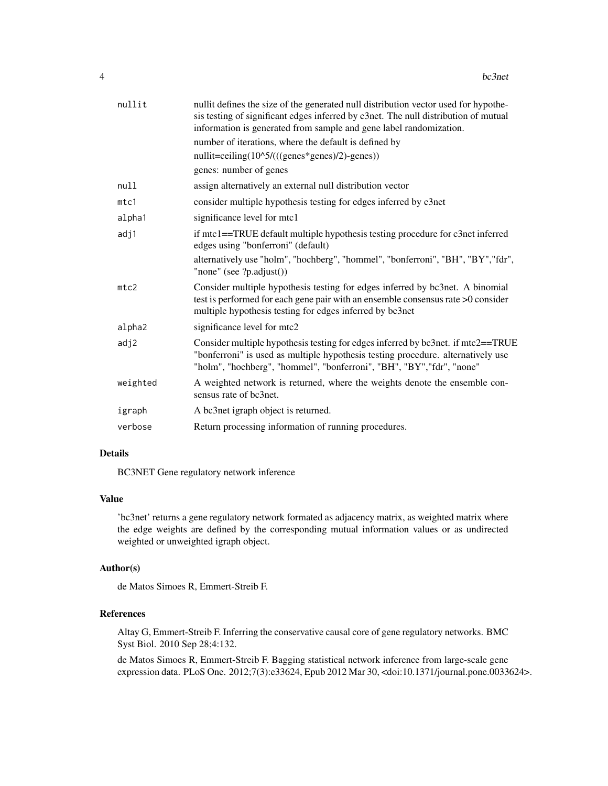| nullit   | nullit defines the size of the generated null distribution vector used for hypothe-<br>sis testing of significant edges inferred by c3net. The null distribution of mutual<br>information is generated from sample and gene label randomization.<br>number of iterations, where the default is defined by |
|----------|-----------------------------------------------------------------------------------------------------------------------------------------------------------------------------------------------------------------------------------------------------------------------------------------------------------|
|          | nullit=ceiling(10^5/(((genes*genes)/2)-genes))                                                                                                                                                                                                                                                            |
|          | genes: number of genes                                                                                                                                                                                                                                                                                    |
| null     | assign alternatively an external null distribution vector                                                                                                                                                                                                                                                 |
| mtc1     | consider multiple hypothesis testing for edges inferred by c3net                                                                                                                                                                                                                                          |
| alpha1   | significance level for mtc1                                                                                                                                                                                                                                                                               |
| adj1     | if mtc1==TRUE default multiple hypothesis testing procedure for c3net inferred<br>edges using "bonferroni" (default)                                                                                                                                                                                      |
|          | alternatively use "holm", "hochberg", "hommel", "bonferroni", "BH", "BY","fdr",<br>"none" (see $?p.addjust()$ )                                                                                                                                                                                           |
| mtc2     | Consider multiple hypothesis testing for edges inferred by bc3net. A binomial<br>test is performed for each gene pair with an ensemble consensus rate >0 consider<br>multiple hypothesis testing for edges inferred by bc3net                                                                             |
| alpha2   | significance level for mtc2                                                                                                                                                                                                                                                                               |
| adj2     | Consider multiple hypothesis testing for edges inferred by bc3net. if mtc2==TRUE<br>"bonferroni" is used as multiple hypothesis testing procedure. alternatively use<br>"holm", "hochberg", "hommel", "bonferroni", "BH", "BY", "fdr", "none"                                                             |
| weighted | A weighted network is returned, where the weights denote the ensemble con-<br>sensus rate of bc3net.                                                                                                                                                                                                      |
| igraph   | A bc3net igraph object is returned.                                                                                                                                                                                                                                                                       |
| verbose  | Return processing information of running procedures.                                                                                                                                                                                                                                                      |

#### Details

BC3NET Gene regulatory network inference

# Value

'bc3net' returns a gene regulatory network formated as adjacency matrix, as weighted matrix where the edge weights are defined by the corresponding mutual information values or as undirected weighted or unweighted igraph object.

#### Author(s)

de Matos Simoes R, Emmert-Streib F.

# References

Altay G, Emmert-Streib F. Inferring the conservative causal core of gene regulatory networks. BMC Syst Biol. 2010 Sep 28;4:132.

de Matos Simoes R, Emmert-Streib F. Bagging statistical network inference from large-scale gene expression data. PLoS One. 2012;7(3):e33624, Epub 2012 Mar 30, <doi:10.1371/journal.pone.0033624>.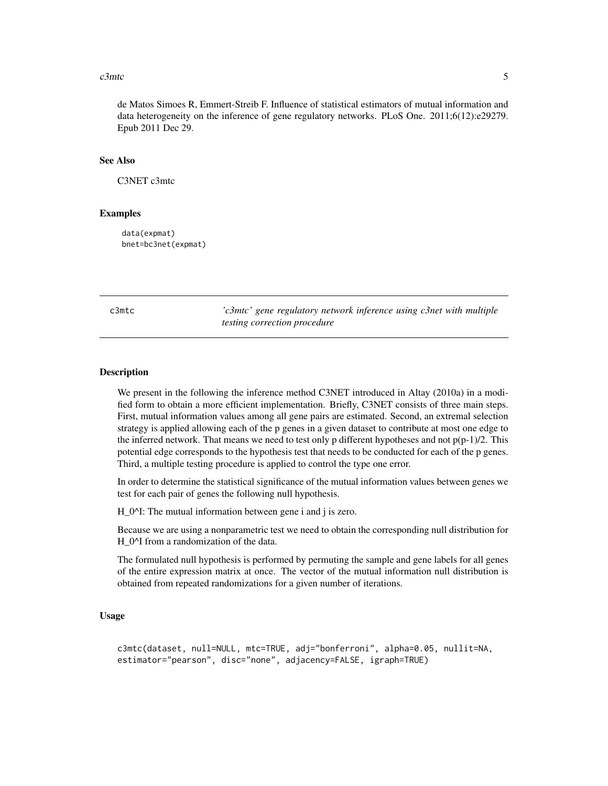#### <span id="page-4-0"></span> $c3$ mtc 5

de Matos Simoes R, Emmert-Streib F. Influence of statistical estimators of mutual information and data heterogeneity on the inference of gene regulatory networks. PLoS One. 2011;6(12):e29279. Epub 2011 Dec 29.

#### See Also

C3NET c3mtc

#### Examples

data(expmat) bnet=bc3net(expmat)

c3mtc *'c3mtc' gene regulatory network inference using c3net with multiple testing correction procedure*

#### Description

We present in the following the inference method C3NET introduced in Altay (2010a) in a modified form to obtain a more efficient implementation. Briefly, C3NET consists of three main steps. First, mutual information values among all gene pairs are estimated. Second, an extremal selection strategy is applied allowing each of the p genes in a given dataset to contribute at most one edge to the inferred network. That means we need to test only p different hypotheses and not  $p(p-1)/2$ . This potential edge corresponds to the hypothesis test that needs to be conducted for each of the p genes. Third, a multiple testing procedure is applied to control the type one error.

In order to determine the statistical significance of the mutual information values between genes we test for each pair of genes the following null hypothesis.

H\_0^I: The mutual information between gene i and j is zero.

Because we are using a nonparametric test we need to obtain the corresponding null distribution for H\_0^I from a randomization of the data.

The formulated null hypothesis is performed by permuting the sample and gene labels for all genes of the entire expression matrix at once. The vector of the mutual information null distribution is obtained from repeated randomizations for a given number of iterations.

#### Usage

```
c3mtc(dataset, null=NULL, mtc=TRUE, adj="bonferroni", alpha=0.05, nullit=NA,
estimator="pearson", disc="none", adjacency=FALSE, igraph=TRUE)
```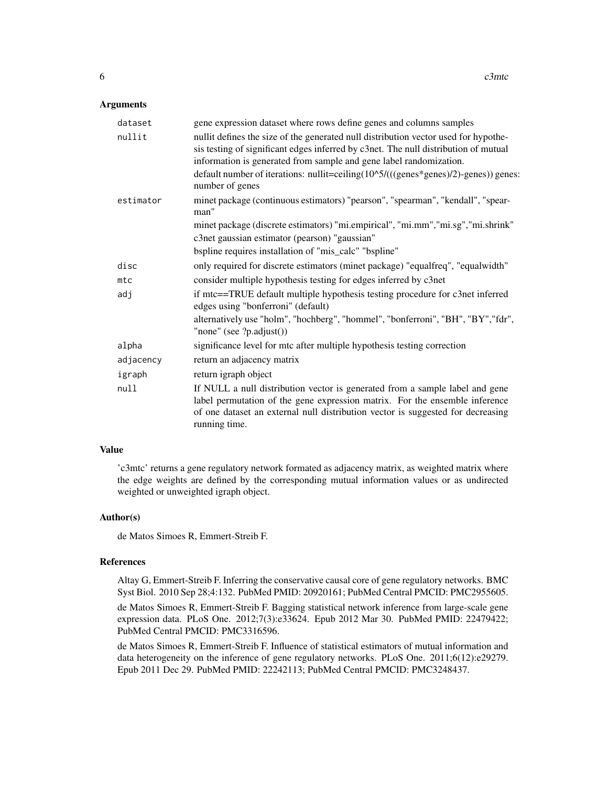#### **Arguments**

| dataset   | gene expression dataset where rows define genes and columns samples                                                                                                                                                                                             |
|-----------|-----------------------------------------------------------------------------------------------------------------------------------------------------------------------------------------------------------------------------------------------------------------|
| nullit    | nullit defines the size of the generated null distribution vector used for hypothe-<br>sis testing of significant edges inferred by c3net. The null distribution of mutual<br>information is generated from sample and gene label randomization.                |
|           | default number of iterations: nullit=ceiling(10^5/(((genes*genes)/2)-genes)) genes:<br>number of genes                                                                                                                                                          |
| estimator | minet package (continuous estimators) "pearson", "spearman", "kendall", "spear-<br>man"                                                                                                                                                                         |
|           | minet package (discrete estimators) "mi.empirical", "mi.mm", "mi.sg", "mi.shrink"                                                                                                                                                                               |
|           | c3net gaussian estimator (pearson) "gaussian"                                                                                                                                                                                                                   |
|           | bspline requires installation of "mis_calc" "bspline"                                                                                                                                                                                                           |
| disc      | only required for discrete estimators (minet package) "equalfreq", "equalwidth"                                                                                                                                                                                 |
| mtc       | consider multiple hypothesis testing for edges inferred by c3net                                                                                                                                                                                                |
| adj       | if mtc==TRUE default multiple hypothesis testing procedure for c3net inferred<br>edges using "bonferroni" (default)                                                                                                                                             |
|           | alternatively use "holm", "hochberg", "hommel", "bonferroni", "BH", "BY", "fdr",<br>"none" (see ?p.adjust())                                                                                                                                                    |
| alpha     | significance level for mtc after multiple hypothesis testing correction                                                                                                                                                                                         |
| adjacency | return an adjacency matrix                                                                                                                                                                                                                                      |
| igraph    | return igraph object                                                                                                                                                                                                                                            |
| null      | If NULL a null distribution vector is generated from a sample label and gene<br>label permutation of the gene expression matrix. For the ensemble inference<br>of one dataset an external null distribution vector is suggested for decreasing<br>running time. |

#### Value

'c3mtc' returns a gene regulatory network formated as adjacency matrix, as weighted matrix where the edge weights are defined by the corresponding mutual information values or as undirected weighted or unweighted igraph object.

#### Author(s)

de Matos Simoes R, Emmert-Streib F.

# References

Altay G, Emmert-Streib F. Inferring the conservative causal core of gene regulatory networks. BMC Syst Biol. 2010 Sep 28;4:132. PubMed PMID: 20920161; PubMed Central PMCID: PMC2955605.

de Matos Simoes R, Emmert-Streib F. Bagging statistical network inference from large-scale gene expression data. PLoS One. 2012;7(3):e33624. Epub 2012 Mar 30. PubMed PMID: 22479422; PubMed Central PMCID: PMC3316596.

de Matos Simoes R, Emmert-Streib F. Influence of statistical estimators of mutual information and data heterogeneity on the inference of gene regulatory networks. PLoS One. 2011;6(12):e29279. Epub 2011 Dec 29. PubMed PMID: 22242113; PubMed Central PMCID: PMC3248437.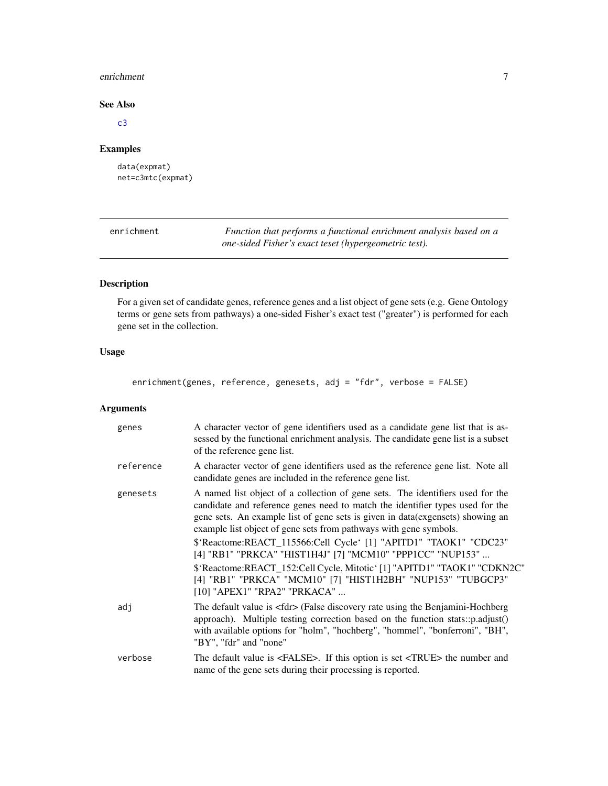#### <span id="page-6-0"></span>enrichment 7

# See Also

[c3](#page-0-0)

# Examples

data(expmat) net=c3mtc(expmat)

<span id="page-6-1"></span>enrichment *Function that performs a functional enrichment analysis based on a one-sided Fisher's exact teset (hypergeometric test).*

# Description

For a given set of candidate genes, reference genes and a list object of gene sets (e.g. Gene Ontology terms or gene sets from pathways) a one-sided Fisher's exact test ("greater") is performed for each gene set in the collection.

# Usage

enrichment(genes, reference, genesets, adj = "fdr", verbose = FALSE)

# Arguments

| genes     | A character vector of gene identifiers used as a candidate gene list that is as-<br>sessed by the functional enrichment analysis. The candidate gene list is a subset<br>of the reference gene list.                                                                                                                                                                                                                                                                                                                                                                                                                                  |
|-----------|---------------------------------------------------------------------------------------------------------------------------------------------------------------------------------------------------------------------------------------------------------------------------------------------------------------------------------------------------------------------------------------------------------------------------------------------------------------------------------------------------------------------------------------------------------------------------------------------------------------------------------------|
| reference | A character vector of gene identifiers used as the reference gene list. Note all<br>candidate genes are included in the reference gene list.                                                                                                                                                                                                                                                                                                                                                                                                                                                                                          |
| genesets  | A named list object of a collection of gene sets. The identifiers used for the<br>candidate and reference genes need to match the identifier types used for the<br>gene sets. An example list of gene sets is given in data(exgensets) showing an<br>example list object of gene sets from pathways with gene symbols.<br>\$'Reactome:REACT_115566:Cell Cycle' [1] "APITD1" "TAOK1" "CDC23"<br>[4] "RB1" "PRKCA" "HIST1H4J" [7] "MCM10" "PPP1CC" "NUP153"<br>\$'Reactome:REACT_152:Cell Cycle, Mitotic' [1] "APITD1" "TAOK1" "CDKN2C"<br>[4] "RB1" "PRKCA" "MCM10" [7] "HIST1H2BH" "NUP153" "TUBGCP3"<br>[10] "APEX1" "RPA2" "PRKACA" |
| adj       | The default value is <fdr> (False discovery rate using the Benjamini-Hochberg<br/>approach). Multiple testing correction based on the function stats::p.adjust()<br/>with available options for "holm", "hochberg", "hommel", "bonferroni", "BH",<br/>"BY", "fdr" and "none"</fdr>                                                                                                                                                                                                                                                                                                                                                    |
| verbose   | The default value is <false>. If this option is set <true> the number and<br/>name of the gene sets during their processing is reported.</true></false>                                                                                                                                                                                                                                                                                                                                                                                                                                                                               |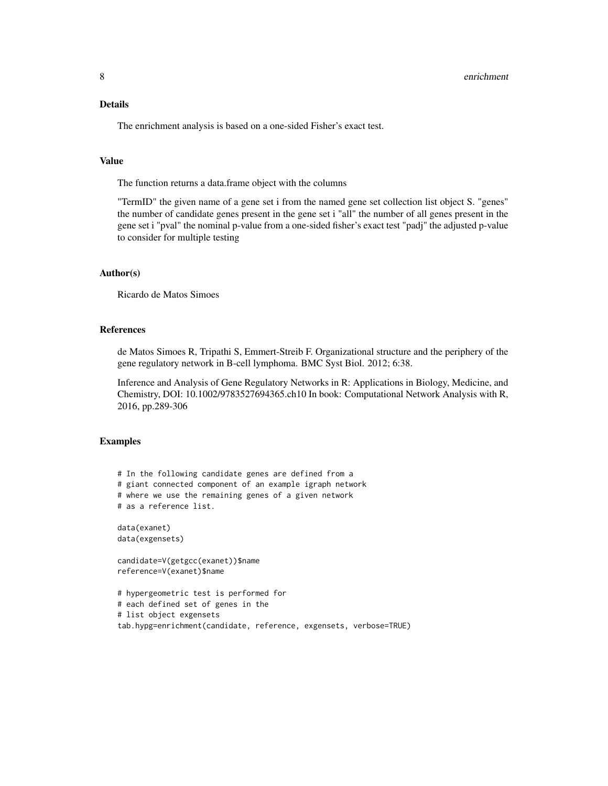# Details

The enrichment analysis is based on a one-sided Fisher's exact test.

#### Value

The function returns a data.frame object with the columns

"TermID" the given name of a gene set i from the named gene set collection list object S. "genes" the number of candidate genes present in the gene set i "all" the number of all genes present in the gene set i "pval" the nominal p-value from a one-sided fisher's exact test "padj" the adjusted p-value to consider for multiple testing

# Author(s)

Ricardo de Matos Simoes

#### References

de Matos Simoes R, Tripathi S, Emmert-Streib F. Organizational structure and the periphery of the gene regulatory network in B-cell lymphoma. BMC Syst Biol. 2012; 6:38.

Inference and Analysis of Gene Regulatory Networks in R: Applications in Biology, Medicine, and Chemistry, DOI: 10.1002/9783527694365.ch10 In book: Computational Network Analysis with R, 2016, pp.289-306

#### Examples

```
# In the following candidate genes are defined from a
# giant connected component of an example igraph network
# where we use the remaining genes of a given network
# as a reference list.
data(exanet)
data(exgensets)
candidate=V(getgcc(exanet))$name
reference=V(exanet)$name
# hypergeometric test is performed for
# each defined set of genes in the
# list object exgensets
tab.hypg=enrichment(candidate, reference, exgensets, verbose=TRUE)
```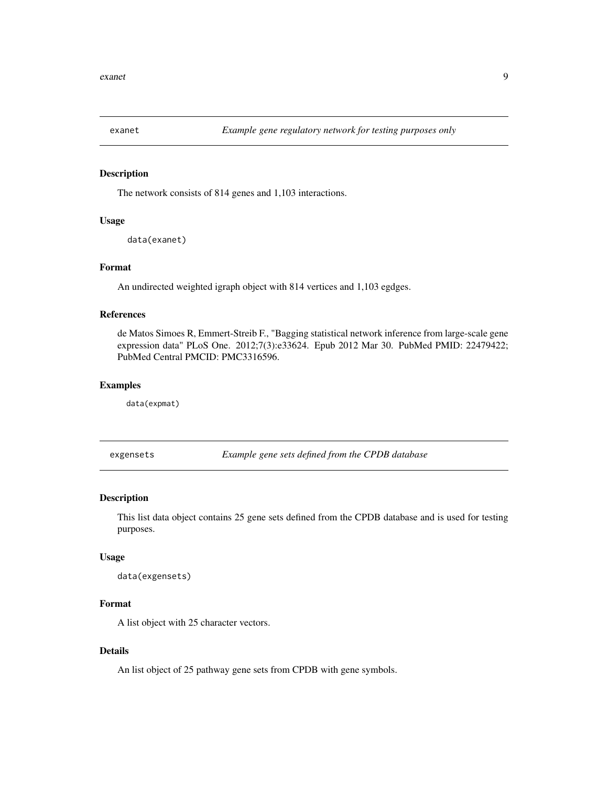<span id="page-8-0"></span>

The network consists of 814 genes and 1,103 interactions.

#### Usage

data(exanet)

# Format

An undirected weighted igraph object with 814 vertices and 1,103 egdges.

#### References

de Matos Simoes R, Emmert-Streib F., "Bagging statistical network inference from large-scale gene expression data" PLoS One. 2012;7(3):e33624. Epub 2012 Mar 30. PubMed PMID: 22479422; PubMed Central PMCID: PMC3316596.

#### Examples

data(expmat)

exgensets *Example gene sets defined from the CPDB database*

# Description

This list data object contains 25 gene sets defined from the CPDB database and is used for testing purposes.

#### Usage

```
data(exgensets)
```
### Format

A list object with 25 character vectors.

#### Details

An list object of 25 pathway gene sets from CPDB with gene symbols.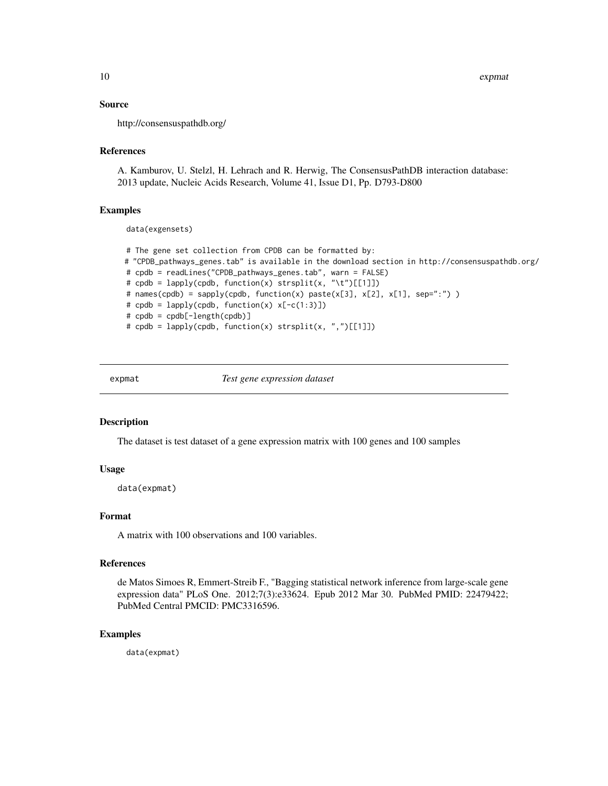#### Source

http://consensuspathdb.org/

#### References

A. Kamburov, U. Stelzl, H. Lehrach and R. Herwig, The ConsensusPathDB interaction database: 2013 update, Nucleic Acids Research, Volume 41, Issue D1, Pp. D793-D800

#### Examples

data(exgensets)

```
# The gene set collection from CPDB can be formatted by:
# "CPDB_pathways_genes.tab" is available in the download section in http://consensuspathdb.org/
# cpdb = readLines("CPDB_pathways_genes.tab", warn = FALSE)
# cpdb = lapply(cpdb, function(x) strsplit(x, "\t")[[1]])
# names(cpdb) = sapply(cpdb, function(x) paste(x[3], x[2], x[1], sep=":") )
# cpdb = lapply(cpdb, function(x) x[-c(1:3)])
# cpdb = cpdb[-length(cpdb)]
# cpdb = lapply(cpdb, function(x) strsplit(x, ",")[[1]])
```
expmat *Test gene expression dataset*

#### Description

The dataset is test dataset of a gene expression matrix with 100 genes and 100 samples

# Usage

data(expmat)

#### Format

A matrix with 100 observations and 100 variables.

#### References

de Matos Simoes R, Emmert-Streib F., "Bagging statistical network inference from large-scale gene expression data" PLoS One. 2012;7(3):e33624. Epub 2012 Mar 30. PubMed PMID: 22479422; PubMed Central PMCID: PMC3316596.

#### Examples

data(expmat)

<span id="page-9-0"></span>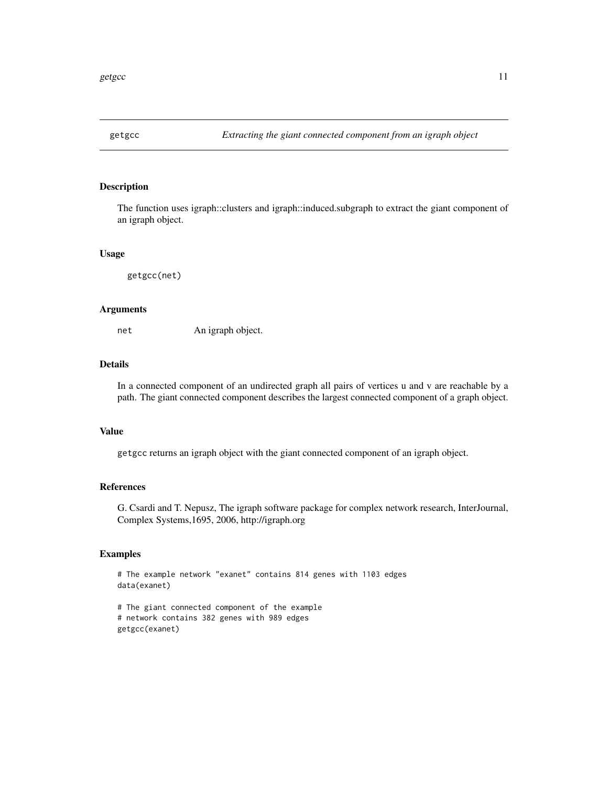<span id="page-10-0"></span>

The function uses igraph::clusters and igraph::induced.subgraph to extract the giant component of an igraph object.

#### Usage

getgcc(net)

#### Arguments

net An igraph object.

#### Details

In a connected component of an undirected graph all pairs of vertices u and v are reachable by a path. The giant connected component describes the largest connected component of a graph object.

### Value

getgcc returns an igraph object with the giant connected component of an igraph object.

# References

G. Csardi and T. Nepusz, The igraph software package for complex network research, InterJournal, Complex Systems,1695, 2006, http://igraph.org

# Examples

```
# The example network "exanet" contains 814 genes with 1103 edges
data(exanet)
```

```
# The giant connected component of the example
# network contains 382 genes with 989 edges
getgcc(exanet)
```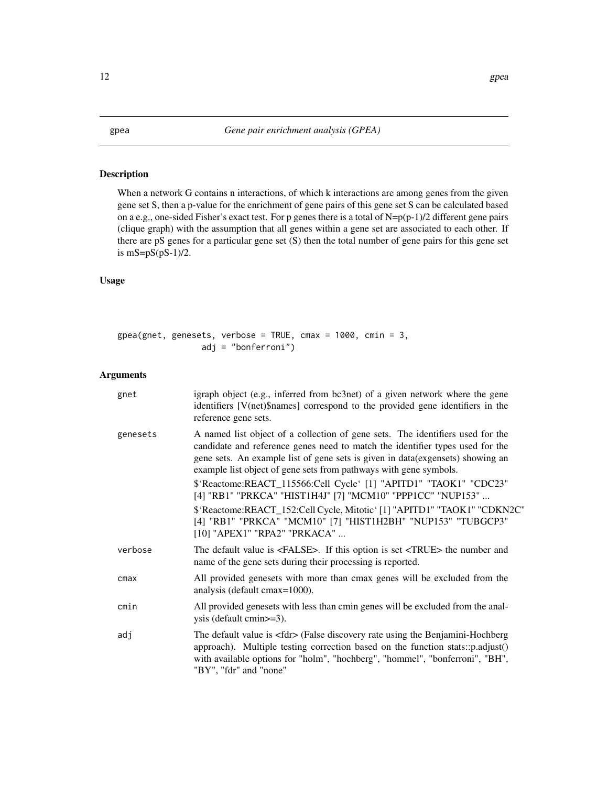<span id="page-11-0"></span>When a network G contains n interactions, of which k interactions are among genes from the given gene set S, then a p-value for the enrichment of gene pairs of this gene set S can be calculated based on a e.g., one-sided Fisher's exact test. For p genes there is a total of  $N=p(p-1)/2$  different gene pairs (clique graph) with the assumption that all genes within a gene set are associated to each other. If there are pS genes for a particular gene set (S) then the total number of gene pairs for this gene set is  $mS = pS(pS-1)/2$ .

# Usage

| $\beta$ gpea(gnet, genesets, verbose = TRUE, cmax = 1000, cmin = 3, |                       |  |  |  |
|---------------------------------------------------------------------|-----------------------|--|--|--|
|                                                                     | $adj = "bonferroni")$ |  |  |  |

# Arguments

| gnet     | igraph object (e.g., inferred from bc3net) of a given network where the gene<br>identifiers [V(net)\$names] correspond to the provided gene identifiers in the<br>reference gene sets.                                                                                                                                                                                                                                                                                                                                                |
|----------|---------------------------------------------------------------------------------------------------------------------------------------------------------------------------------------------------------------------------------------------------------------------------------------------------------------------------------------------------------------------------------------------------------------------------------------------------------------------------------------------------------------------------------------|
| genesets | A named list object of a collection of gene sets. The identifiers used for the<br>candidate and reference genes need to match the identifier types used for the<br>gene sets. An example list of gene sets is given in data(exgensets) showing an<br>example list object of gene sets from pathways with gene symbols.<br>\$'Reactome:REACT_115566:Cell Cycle' [1] "APITD1" "TAOK1" "CDC23"<br>[4] "RB1" "PRKCA" "HIST1H4J" [7] "MCM10" "PPP1CC" "NUP153"<br>\$'Reactome:REACT_152:Cell Cycle, Mitotic' [1] "APITD1" "TAOK1" "CDKN2C" |
|          | [4] "RB1" "PRKCA" "MCM10" [7] "HIST1H2BH" "NUP153" "TUBGCP3"<br>[10] "APEX1" "RPA2" "PRKACA"                                                                                                                                                                                                                                                                                                                                                                                                                                          |
| verbose  | The default value is <false>. If this option is set <true> the number and<br/>name of the gene sets during their processing is reported.</true></false>                                                                                                                                                                                                                                                                                                                                                                               |
| cmax     | All provided genesets with more than cmax genes will be excluded from the<br>analysis (default cmax=1000).                                                                                                                                                                                                                                                                                                                                                                                                                            |
| cmin     | All provided genesets with less than cmin genes will be excluded from the anal-<br>ysis (default cmin>=3).                                                                                                                                                                                                                                                                                                                                                                                                                            |
| adj      | The default value is <fdr> (False discovery rate using the Benjamini-Hochberg<br/>approach). Multiple testing correction based on the function stats::p.adjust()<br/>with available options for "holm", "hochberg", "hommel", "bonferroni", "BH",<br/>"BY", "fdr" and "none"</fdr>                                                                                                                                                                                                                                                    |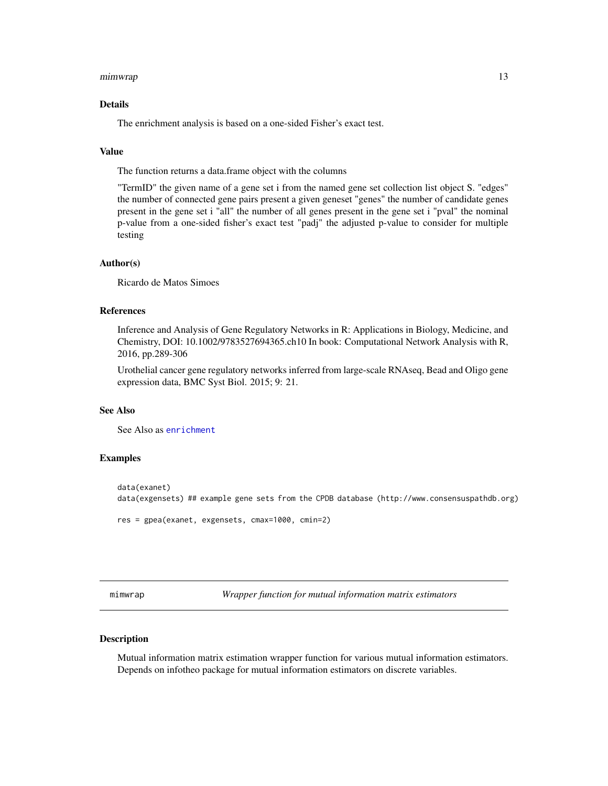#### <span id="page-12-0"></span>mimwrap 13

#### Details

The enrichment analysis is based on a one-sided Fisher's exact test.

#### Value

The function returns a data.frame object with the columns

"TermID" the given name of a gene set i from the named gene set collection list object S. "edges" the number of connected gene pairs present a given geneset "genes" the number of candidate genes present in the gene set i "all" the number of all genes present in the gene set i "pval" the nominal p-value from a one-sided fisher's exact test "padj" the adjusted p-value to consider for multiple testing

#### Author(s)

Ricardo de Matos Simoes

#### References

Inference and Analysis of Gene Regulatory Networks in R: Applications in Biology, Medicine, and Chemistry, DOI: 10.1002/9783527694365.ch10 In book: Computational Network Analysis with R, 2016, pp.289-306

Urothelial cancer gene regulatory networks inferred from large-scale RNAseq, Bead and Oligo gene expression data, BMC Syst Biol. 2015; 9: 21.

#### See Also

See Also as [enrichment](#page-6-1)

#### Examples

```
data(exanet)
data(exgensets) ## example gene sets from the CPDB database (http://www.consensuspathdb.org)
res = gpea(exanet, exgensets, cmax=1000, cmin=2)
```
mimwrap *Wrapper function for mutual information matrix estimators*

#### Description

Mutual information matrix estimation wrapper function for various mutual information estimators. Depends on infotheo package for mutual information estimators on discrete variables.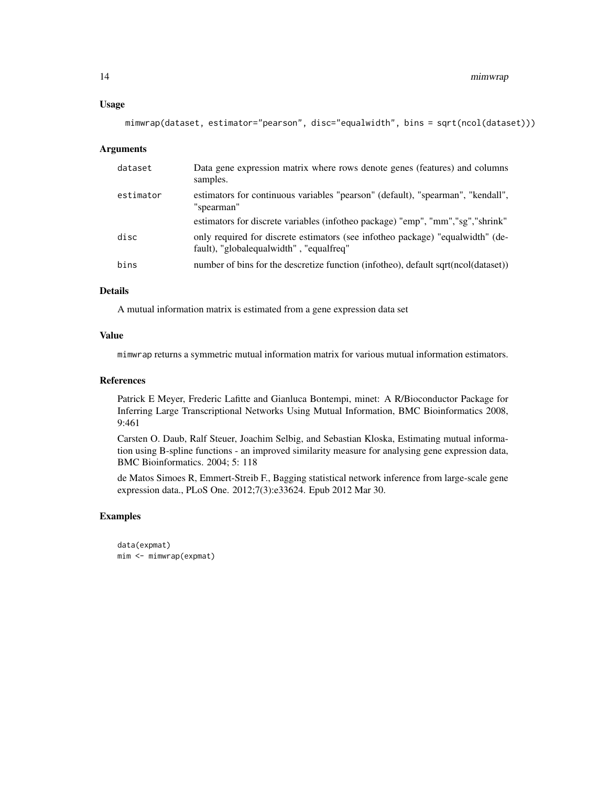#### Usage

```
mimwrap(dataset, estimator="pearson", disc="equalwidth", bins = sqrt(ncol(dataset)))
```
#### Arguments

| dataset   | Data gene expression matrix where rows denote genes (features) and columns<br>samples.                                    |
|-----------|---------------------------------------------------------------------------------------------------------------------------|
| estimator | estimators for continuous variables "pearson" (default), "spearman", "kendall",<br>"spearman"                             |
|           | estimators for discrete variables (infotheo package) "emp", "mm", "sg", "shrink"                                          |
| disc      | only required for discrete estimators (see infotheo package) "equalwidth" (de-<br>fault), "globalequalwidth", "equalfreq" |
| bins      | number of bins for the descretize function (infotheo), default sqrt(ncol(dataset))                                        |

# Details

A mutual information matrix is estimated from a gene expression data set

#### Value

mimwrap returns a symmetric mutual information matrix for various mutual information estimators.

#### References

Patrick E Meyer, Frederic Lafitte and Gianluca Bontempi, minet: A R/Bioconductor Package for Inferring Large Transcriptional Networks Using Mutual Information, BMC Bioinformatics 2008, 9:461

Carsten O. Daub, Ralf Steuer, Joachim Selbig, and Sebastian Kloska, Estimating mutual information using B-spline functions - an improved similarity measure for analysing gene expression data, BMC Bioinformatics. 2004; 5: 118

de Matos Simoes R, Emmert-Streib F., Bagging statistical network inference from large-scale gene expression data., PLoS One. 2012;7(3):e33624. Epub 2012 Mar 30.

#### Examples

```
data(expmat)
mim <- mimwrap(expmat)
```